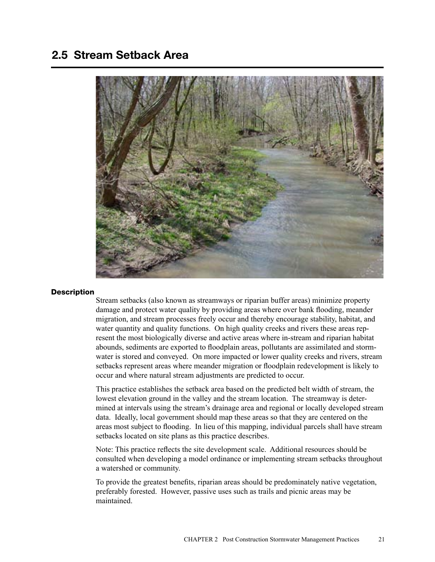# 2.5 Stream Setback Area



## **Description**

Stream setbacks (also known as streamways or riparian buffer areas) minimize property damage and protect water quality by providing areas where over bank flooding, meander migration, and stream processes freely occur and thereby encourage stability, habitat, and water quantity and quality functions. On high quality creeks and rivers these areas represent the most biologically diverse and active areas where in-stream and riparian habitat abounds, sediments are exported to floodplain areas, pollutants are assimilated and stormwater is stored and conveyed. On more impacted or lower quality creeks and rivers, stream setbacks represent areas where meander migration or floodplain redevelopment is likely to occur and where natural stream adjustments are predicted to occur.

This practice establishes the setback area based on the predicted belt width of stream, the lowest elevation ground in the valley and the stream location. The streamway is determined at intervals using the stream's drainage area and regional or locally developed stream data. Ideally, local government should map these areas so that they are centered on the areas most subject to flooding. In lieu of this mapping, individual parcels shall have stream setbacks located on site plans as this practice describes.

Note: This practice reflects the site development scale. Additional resources should be consulted when developing a model ordinance or implementing stream setbacks throughout a watershed or community.

To provide the greatest benefits, riparian areas should be predominately native vegetation, preferably forested. However, passive uses such as trails and picnic areas may be maintained.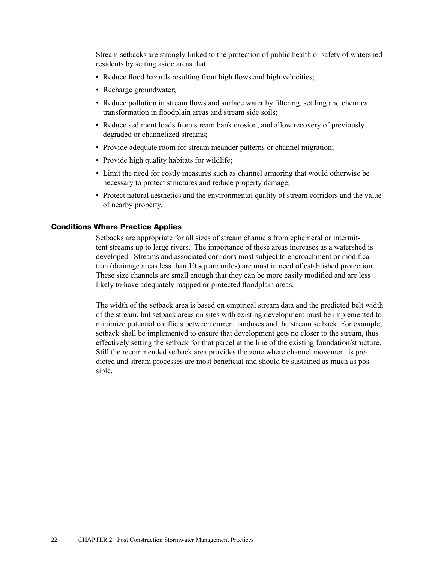Stream setbacks are strongly linked to the protection of public health or safety of watershed residents by setting aside areas that:

- Reduce flood hazards resulting from high flows and high velocities;
- Recharge groundwater;
- Reduce pollution in stream flows and surface water by filtering, settling and chemical transformation in floodplain areas and stream side soils;
- Reduce sediment loads from stream bank erosion; and allow recovery of previously degraded or channelized streams;
- Provide adequate room for stream meander patterns or channel migration;
- Provide high quality habitats for wildlife;
- Limit the need for costly measures such as channel armoring that would otherwise be necessary to protect structures and reduce property damage;
- Protect natural aesthetics and the environmental quality of stream corridors and the value of nearby property.

## Conditions Where Practice Applies

Setbacks are appropriate for all sizes of stream channels from ephemeral or intermittent streams up to large rivers. The importance of these areas increases as a watershed is developed. Streams and associated corridors most subject to encroachment or modification (drainage areas less than 10 square miles) are most in need of established protection. These size channels are small enough that they can be more easily modified and are less likely to have adequately mapped or protected floodplain areas.

The width of the setback area is based on empirical stream data and the predicted belt width of the stream, but setback areas on sites with existing development must be implemented to minimize potential conflicts between current landuses and the stream setback. For example, setback shall be implemented to ensure that development gets no closer to the stream, thus effectively setting the setback for that parcel at the line of the existing foundation/structure. Still the recommended setback area provides the zone where channel movement is predicted and stream processes are most beneficial and should be sustained as much as possible.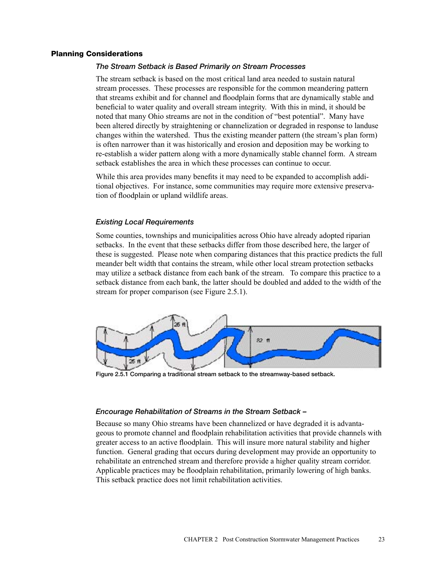## Planning Considerations

# *The Stream Setback is Based Primarily on Stream Processes*

The stream setback is based on the most critical land area needed to sustain natural stream processes. These processes are responsible for the common meandering pattern that streams exhibit and for channel and floodplain forms that are dynamically stable and beneficial to water quality and overall stream integrity. With this in mind, it should be noted that many Ohio streams are not in the condition of "best potential". Many have been altered directly by straightening or channelization or degraded in response to landuse changes within the watershed. Thus the existing meander pattern (the stream's plan form) is often narrower than it was historically and erosion and deposition may be working to re-establish a wider pattern along with a more dynamically stable channel form. A stream setback establishes the area in which these processes can continue to occur.

While this area provides many benefits it may need to be expanded to accomplish additional objectives. For instance, some communities may require more extensive preservation of floodplain or upland wildlife areas.

## *Existing Local Requirements*

Some counties, townships and municipalities across Ohio have already adopted riparian setbacks. In the event that these setbacks differ from those described here, the larger of these is suggested. Please note when comparing distances that this practice predicts the full meander belt width that contains the stream, while other local stream protection setbacks may utilize a setback distance from each bank of the stream. To compare this practice to a setback distance from each bank, the latter should be doubled and added to the width of the stream for proper comparison (see Figure 2.5.1).



Figure 2.5.1 Comparing a traditional stream setback to the streamway-based setback.

## *Encourage Rehabilitation of Streams in the Stream Setback –*

Because so many Ohio streams have been channelized or have degraded it is advantageous to promote channel and floodplain rehabilitation activities that provide channels with greater access to an active floodplain. This will insure more natural stability and higher function. General grading that occurs during development may provide an opportunity to rehabilitate an entrenched stream and therefore provide a higher quality stream corridor. Applicable practices may be floodplain rehabilitation, primarily lowering of high banks. This setback practice does not limit rehabilitation activities.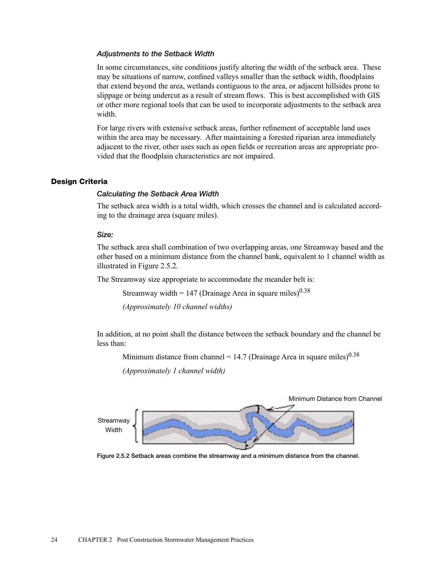#### *Adjustments to the Setback Width*

In some circumstances, site conditions justify altering the width of the setback area. These may be situations of narrow, confined valleys smaller than the setback width, floodplains that extend beyond the area, wetlands contiguous to the area, or adjacent hillsides prone to slippage or being undercut as a result of stream flows. This is best accomplished with GIS or other more regional tools that can be used to incorporate adjustments to the setback area width.

For large rivers with extensive setback areas, further refinement of acceptable land uses within the area may be necessary. After maintaining a forested riparian area immediately adjacent to the river, other uses such as open fields or recreation areas are appropriate provided that the floodplain characteristics are not impaired.

## Design Criteria

#### *Calculating the Setback Area Width*

The setback area width is a total width, which crosses the channel and is calculated according to the drainage area (square miles).

#### *Size:*

The setback area shall combination of two overlapping areas, one Streamway based and the other based on a minimum distance from the channel bank, equivalent to 1 channel width as illustrated in Figure 2.5.2.

The Streamway size appropriate to accommodate the meander belt is:

Streamway width = 147 (Drainage Area in square miles) $0.38$ 

*(Approximately 10 channel widths)*

In addition, at no point shall the distance between the setback boundary and the channel be less than:

Minimum distance from channel = 14.7 (Drainage Area in square miles)<sup>0.38</sup>

*(Approximately 1 channel width)*



Figure 2.5.2 Setback areas combine the streamway and a minimum distance from the channel.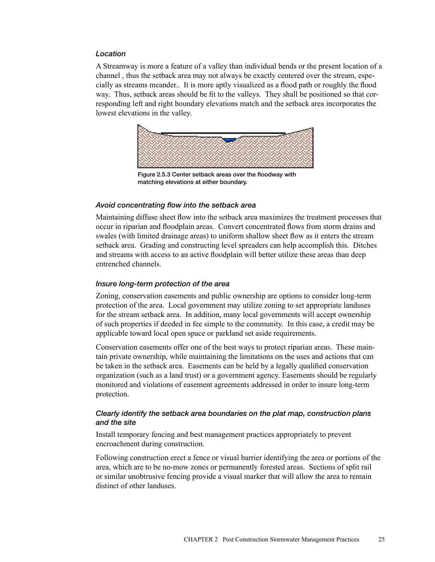## *Location*

A Streamway is more a feature of a valley than individual bends or the present location of a channel , thus the setback area may not always be exactly centered over the stream, especially as streams meander.. It is more aptly visualized as a flood path or roughly the flood way. Thus, setback areas should be fit to the valleys. They shall be positioned so that corresponding left and right boundary elevations match and the setback area incorporates the lowest elevations in the valley.



Figure 2.5.3 Center setback areas over the floodway with matching elevations at either boundary.

## *Avoid concentrating flow into the setback area*

Maintaining diffuse sheet flow into the setback area maximizes the treatment processes that occur in riparian and floodplain areas. Convert concentrated flows from storm drains and swales (with limited drainage areas) to uniform shallow sheet flow as it enters the stream setback area. Grading and constructing level spreaders can help accomplish this. Ditches and streams with access to an active floodplain will better utilize these areas than deep entrenched channels.

## *Insure long-term protection of the area*

Zoning, conservation easements and public ownership are options to consider long-term protection of the area. Local government may utilize zoning to set appropriate landuses for the stream setback area. In addition, many local governments will accept ownership of such properties if deeded in fee simple to the community. In this case, a credit may be applicable toward local open space or parkland set aside requirements.

Conservation easements offer one of the best ways to protect riparian areas. These maintain private ownership, while maintaining the limitations on the uses and actions that can be taken in the setback area. Easements can be held by a legally qualified conservation organization (such as a land trust) or a government agency. Easements should be regularly monitored and violations of easement agreements addressed in order to insure long-term protection.

# *Clearly identify the setback area boundaries on the plat map, construction plans and the site*

Install temporary fencing and best management practices appropriately to prevent encroachment during construction.

Following construction erect a fence or visual barrier identifying the area or portions of the area, which are to be no-mow zones or permanently forested areas. Sections of split rail or similar unobtrusive fencing provide a visual marker that will allow the area to remain distinct of other landuses.